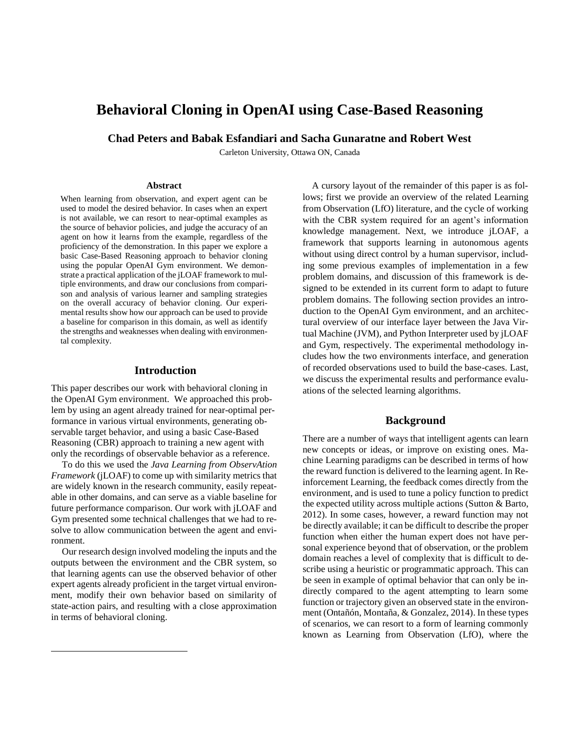# **Behavioral Cloning in OpenAI using Case-Based Reasoning**

**Chad Peters and Babak Esfandiari and Sacha Gunaratne and Robert West**

Carleton University, Ottawa ON, Canada

#### **Abstract**

When learning from observation, and expert agent can be used to model the desired behavior. In cases when an expert is not available, we can resort to near-optimal examples as the source of behavior policies, and judge the accuracy of an agent on how it learns from the example, regardless of the proficiency of the demonstration. In this paper we explore a basic Case-Based Reasoning approach to behavior cloning using the popular OpenAI Gym environment. We demonstrate a practical application of the jLOAF framework to multiple environments, and draw our conclusions from comparison and analysis of various learner and sampling strategies on the overall accuracy of behavior cloning. Our experimental results show how our approach can be used to provide a baseline for comparison in this domain, as well as identify the strengths and weaknesses when dealing with environmental complexity.

# **Introduction**

This paper describes our work with behavioral cloning in the OpenAI Gym environment. We approached this problem by using an agent already trained for near-optimal performance in various virtual environments, generating observable target behavior, and using a basic Case-Based Reasoning (CBR) approach to training a new agent with only the recordings of observable behavior as a reference.

To do this we used the *Java Learning from ObservAtion Framework* (jLOAF) to come up with similarity metrics that are widely known in the research community, easily repeatable in other domains, and can serve as a viable baseline for future performance comparison. Our work with jLOAF and Gym presented some technical challenges that we had to resolve to allow communication between the agent and environment.

Our research design involved modeling the inputs and the outputs between the environment and the CBR system, so that learning agents can use the observed behavior of other expert agents already proficient in the target virtual environment, modify their own behavior based on similarity of state-action pairs, and resulting with a close approximation in terms of behavioral cloning.

 $\overline{a}$ 

A cursory layout of the remainder of this paper is as follows; first we provide an overview of the related Learning from Observation (LfO) literature, and the cycle of working with the CBR system required for an agent's information knowledge management. Next, we introduce jLOAF, a framework that supports learning in autonomous agents without using direct control by a human supervisor, including some previous examples of implementation in a few problem domains, and discussion of this framework is designed to be extended in its current form to adapt to future problem domains. The following section provides an introduction to the OpenAI Gym environment, and an architectural overview of our interface layer between the Java Virtual Machine (JVM), and Python Interpreter used by jLOAF and Gym, respectively. The experimental methodology includes how the two environments interface, and generation of recorded observations used to build the base-cases. Last, we discuss the experimental results and performance evaluations of the selected learning algorithms.

## **Background**

There are a number of ways that intelligent agents can learn new concepts or ideas, or improve on existing ones. Machine Learning paradigms can be described in terms of how the reward function is delivered to the learning agent. In Reinforcement Learning, the feedback comes directly from the environment, and is used to tune a policy function to predict the expected utility across multiple actions (Sutton & Barto, 2012). In some cases, however, a reward function may not be directly available; it can be difficult to describe the proper function when either the human expert does not have personal experience beyond that of observation, or the problem domain reaches a level of complexity that is difficult to describe using a heuristic or programmatic approach. This can be seen in example of optimal behavior that can only be indirectly compared to the agent attempting to learn some function or trajectory given an observed state in the environment (Ontañón, Montaña, & Gonzalez, 2014). In these types of scenarios, we can resort to a form of learning commonly known as Learning from Observation (LfO), where the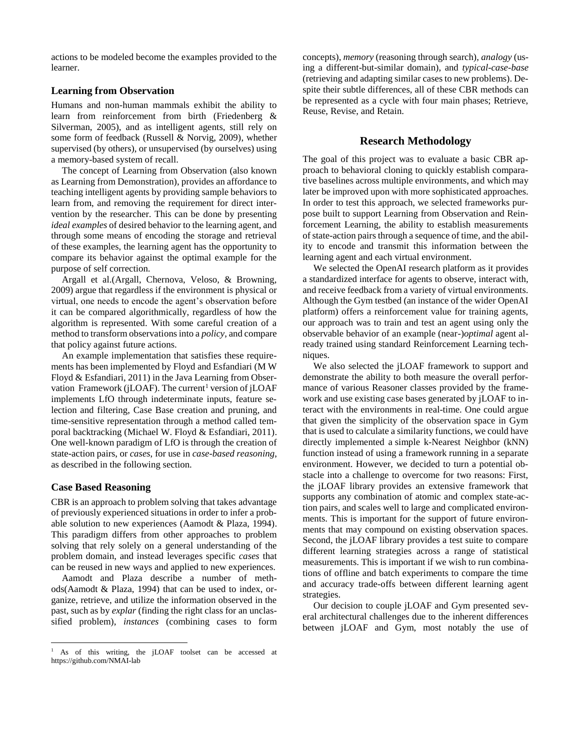actions to be modeled become the examples provided to the learner.

# **Learning from Observation**

Humans and non-human mammals exhibit the ability to learn from reinforcement from birth (Friedenberg & Silverman, 2005), and as intelligent agents, still rely on some form of feedback (Russell & Norvig, 2009), whether supervised (by others), or unsupervised (by ourselves) using a memory-based system of recall.

The concept of Learning from Observation (also known as Learning from Demonstration), provides an affordance to teaching intelligent agents by providing sample behaviors to learn from, and removing the requirement for direct intervention by the researcher. This can be done by presenting *ideal examples* of desired behavior to the learning agent, and through some means of encoding the storage and retrieval of these examples, the learning agent has the opportunity to compare its behavior against the optimal example for the purpose of self correction.

Argall et al.(Argall, Chernova, Veloso, & Browning, 2009) argue that regardless if the environment is physical or virtual, one needs to encode the agent's observation before it can be compared algorithmically, regardless of how the algorithm is represented. With some careful creation of a method to transform observations into a *policy*, and compare that policy against future actions.

An example implementation that satisfies these requirements has been implemented by Floyd and Esfandiari (M W Floyd & Esfandiari, 2011) in the Java Learning from Observation Framework (jLOAF). The current<sup>1</sup> version of jLOAF implements LfO through indeterminate inputs, feature selection and filtering, Case Base creation and pruning, and time-sensitive representation through a method called temporal backtracking (Michael W. Floyd & Esfandiari, 2011). One well-known paradigm of LfO is through the creation of state-action pairs, or *cases*, for use in *case-based reasoning*, as described in the following section.

#### **Case Based Reasoning**

 $\overline{a}$ 

CBR is an approach to problem solving that takes advantage of previously experienced situations in order to infer a probable solution to new experiences (Aamodt & Plaza, 1994). This paradigm differs from other approaches to problem solving that rely solely on a general understanding of the problem domain, and instead leverages specific *cases* that can be reused in new ways and applied to new experiences.

Aamodt and Plaza describe a number of methods(Aamodt & Plaza, 1994) that can be used to index, organize, retrieve, and utilize the information observed in the past, such as by *explar* (finding the right class for an unclassified problem), *instances* (combining cases to form concepts), *memory* (reasoning through search), *analogy* (using a different-but-similar domain), and *typical-case-base* (retrieving and adapting similar cases to new problems). Despite their subtle differences, all of these CBR methods can be represented as a cycle with four main phases; Retrieve, Reuse, Revise, and Retain.

### **Research Methodology**

The goal of this project was to evaluate a basic CBR approach to behavioral cloning to quickly establish comparative baselines across multiple environments, and which may later be improved upon with more sophisticated approaches. In order to test this approach, we selected frameworks purpose built to support Learning from Observation and Reinforcement Learning, the ability to establish measurements of state-action pairs through a sequence of time, and the ability to encode and transmit this information between the learning agent and each virtual environment.

We selected the OpenAI research platform as it provides a standardized interface for agents to observe, interact with, and receive feedback from a variety of virtual environments. Although the Gym testbed (an instance of the wider OpenAI platform) offers a reinforcement value for training agents, our approach was to train and test an agent using only the observable behavior of an example (near-)*optimal* agent already trained using standard Reinforcement Learning techniques.

We also selected the jLOAF framework to support and demonstrate the ability to both measure the overall performance of various Reasoner classes provided by the framework and use existing case bases generated by jLOAF to interact with the environments in real-time. One could argue that given the simplicity of the observation space in Gym that is used to calculate a similarity functions, we could have directly implemented a simple k-Nearest Neighbor (kNN) function instead of using a framework running in a separate environment. However, we decided to turn a potential obstacle into a challenge to overcome for two reasons: First, the jLOAF library provides an extensive framework that supports any combination of atomic and complex state-action pairs, and scales well to large and complicated environments. This is important for the support of future environments that may compound on existing observation spaces. Second, the jLOAF library provides a test suite to compare different learning strategies across a range of statistical measurements. This is important if we wish to run combinations of offline and batch experiments to compare the time and accuracy trade-offs between different learning agent strategies.

Our decision to couple jLOAF and Gym presented several architectural challenges due to the inherent differences between jLOAF and Gym, most notably the use of

<sup>&</sup>lt;sup>1</sup> As of this writing, the jLOAF toolset can be accessed at https://github.com/NMAI-lab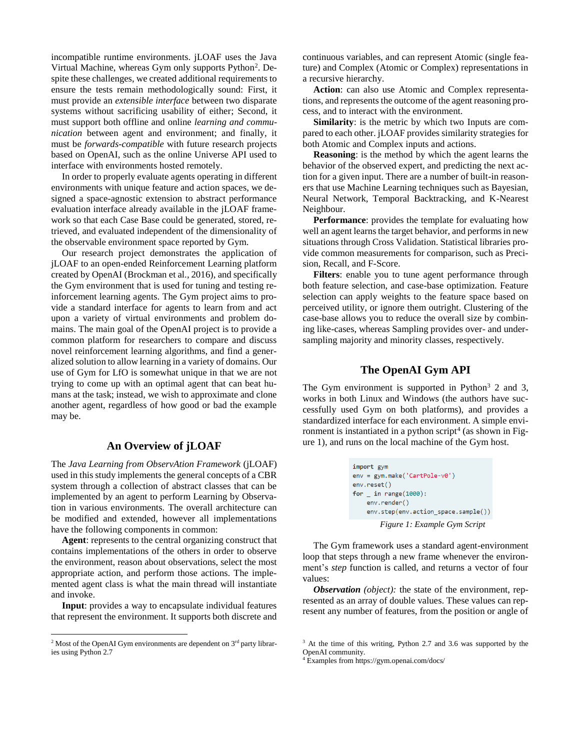incompatible runtime environments. jLOAF uses the Java Virtual Machine, whereas Gym only supports Python<sup>2</sup>. Despite these challenges, we created additional requirements to ensure the tests remain methodologically sound: First, it must provide an *extensible interface* between two disparate systems without sacrificing usability of either; Second, it must support both offline and online *learning and communication* between agent and environment; and finally, it must be *forwards-compatible* with future research projects based on OpenAI, such as the online Universe API used to interface with environments hosted remotely.

In order to properly evaluate agents operating in different environments with unique feature and action spaces, we designed a space-agnostic extension to abstract performance evaluation interface already available in the jLOAF framework so that each Case Base could be generated, stored, retrieved, and evaluated independent of the dimensionality of the observable environment space reported by Gym.

Our research project demonstrates the application of jLOAF to an open-ended Reinforcement Learning platform created by OpenAI (Brockman et al., 2016), and specifically the Gym environment that is used for tuning and testing reinforcement learning agents. The Gym project aims to provide a standard interface for agents to learn from and act upon a variety of virtual environments and problem domains. The main goal of the OpenAI project is to provide a common platform for researchers to compare and discuss novel reinforcement learning algorithms, and find a generalized solution to allow learning in a variety of domains. Our use of Gym for LfO is somewhat unique in that we are not trying to come up with an optimal agent that can beat humans at the task; instead, we wish to approximate and clone another agent, regardless of how good or bad the example may be.

# **An Overview of jLOAF**

The *Java Learning from ObservAtion Framework* (jLOAF) used in this study implements the general concepts of a CBR system through a collection of abstract classes that can be implemented by an agent to perform Learning by Observation in various environments. The overall architecture can be modified and extended, however all implementations have the following components in common:

**Agent**: represents to the central organizing construct that contains implementations of the others in order to observe the environment, reason about observations, select the most appropriate action, and perform those actions. The implemented agent class is what the main thread will instantiate and invoke.

**Input**: provides a way to encapsulate individual features that represent the environment. It supports both discrete and

 $\overline{a}$ 

continuous variables, and can represent Atomic (single feature) and Complex (Atomic or Complex) representations in a recursive hierarchy.

**Action**: can also use Atomic and Complex representations, and represents the outcome of the agent reasoning process, and to interact with the environment.

**Similarity**: is the metric by which two Inputs are compared to each other. jLOAF provides similarity strategies for both Atomic and Complex inputs and actions.

**Reasoning**: is the method by which the agent learns the behavior of the observed expert, and predicting the next action for a given input. There are a number of built-in reasoners that use Machine Learning techniques such as Bayesian, Neural Network, Temporal Backtracking, and K-Nearest Neighbour.

**Performance**: provides the template for evaluating how well an agent learns the target behavior, and performs in new situations through Cross Validation. Statistical libraries provide common measurements for comparison, such as Precision, Recall, and F-Score.

**Filters**: enable you to tune agent performance through both feature selection, and case-base optimization. Feature selection can apply weights to the feature space based on perceived utility, or ignore them outright. Clustering of the case-base allows you to reduce the overall size by combining like-cases, whereas Sampling provides over- and undersampling majority and minority classes, respectively.

# **The OpenAI Gym API**

The Gym environment is supported in Python<sup>3</sup> 2 and 3, works in both Linux and Windows (the authors have successfully used Gym on both platforms), and provides a standardized interface for each environment. A simple environment is instantiated in a python script<sup>4</sup> (as shown in Figure 1), and runs on the local machine of the Gym host.

```
import gym
env = gym.make('CartPole-v0')
env.reset()
for \_ in range(1000):
    env.render()
    env.step(env.action_space.sample())
       Figure 1: Example Gym Script
```
The Gym framework uses a standard agent-environment loop that steps through a new frame whenever the environment's *step* function is called, and returns a vector of four values:

*Observation (object):* the state of the environment, represented as an array of double values. These values can represent any number of features, from the position or angle of

 $2$  Most of the OpenAI Gym environments are dependent on  $3<sup>rd</sup>$  party libraries using Python 2.7

<sup>&</sup>lt;sup>3</sup> At the time of this writing, Python 2.7 and 3.6 was supported by the OpenAI community.

<sup>4</sup> Examples from https://gym.openai.com/docs/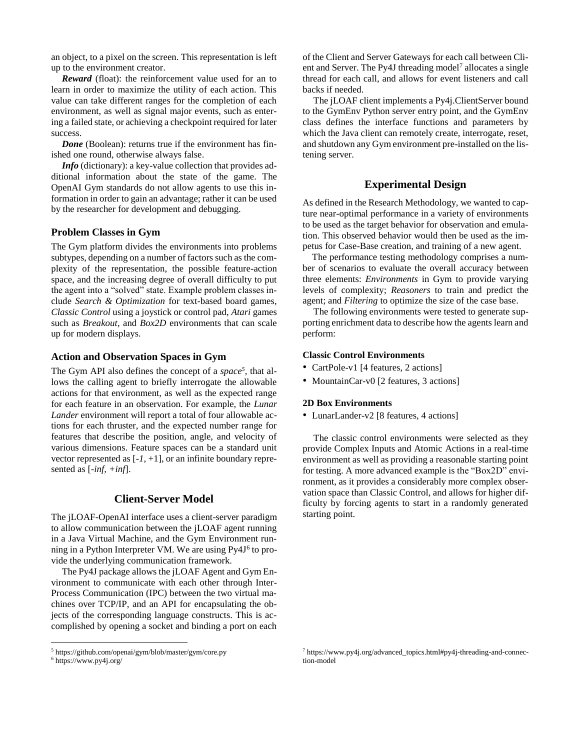an object, to a pixel on the screen. This representation is left up to the environment creator.

*Reward* (float): the reinforcement value used for an to learn in order to maximize the utility of each action. This value can take different ranges for the completion of each environment, as well as signal major events, such as entering a failed state, or achieving a checkpoint required for later success.

*Done* (Boolean): returns true if the environment has finished one round, otherwise always false.

*Info* (dictionary): a key-value collection that provides additional information about the state of the game. The OpenAI Gym standards do not allow agents to use this information in order to gain an advantage; rather it can be used by the researcher for development and debugging.

### **Problem Classes in Gym**

The Gym platform divides the environments into problems subtypes, depending on a number of factors such as the complexity of the representation, the possible feature-action space, and the increasing degree of overall difficulty to put the agent into a "solved" state. Example problem classes include *Search & Optimization* for text-based board games, *Classic Control* using a joystick or control pad, *Atari* games such as *Breakout*, and *Box2D* environments that can scale up for modern displays.

## **Action and Observation Spaces in Gym**

The Gym API also defines the concept of a *space<sup>5</sup>* , that allows the calling agent to briefly interrogate the allowable actions for that environment, as well as the expected range for each feature in an observation. For example, the *Lunar Lander* environment will report a total of four allowable actions for each thruster, and the expected number range for features that describe the position, angle, and velocity of various dimensions. Feature spaces can be a standard unit vector represented as [*-1,* +1], or an infinite boundary represented as [*-inf, +inf*].

# **Client-Server Model**

The jLOAF-OpenAI interface uses a client-server paradigm to allow communication between the jLOAF agent running in a Java Virtual Machine, and the Gym Environment running in a Python Interpreter VM. We are using Py4J<sup>6</sup> to provide the underlying communication framework.

The Py4J package allows the jLOAF Agent and Gym Environment to communicate with each other through Inter-Process Communication (IPC) between the two virtual machines over TCP/IP, and an API for encapsulating the objects of the corresponding language constructs. This is accomplished by opening a socket and binding a port on each

 $\overline{a}$ 

of the Client and Server Gateways for each call between Client and Server. The Py4J threading model<sup>7</sup> allocates a single thread for each call, and allows for event listeners and call backs if needed.

The jLOAF client implements a Py4j.ClientServer bound to the GymEnv Python server entry point, and the GymEnv class defines the interface functions and parameters by which the Java client can remotely create, interrogate, reset, and shutdown any Gym environment pre-installed on the listening server.

# **Experimental Design**

As defined in the Research Methodology, we wanted to capture near-optimal performance in a variety of environments to be used as the target behavior for observation and emulation. This observed behavior would then be used as the impetus for Case-Base creation, and training of a new agent.

The performance testing methodology comprises a number of scenarios to evaluate the overall accuracy between three elements: *Environments* in Gym to provide varying levels of complexity; *Reasoners* to train and predict the agent; and *Filtering* to optimize the size of the case base.

The following environments were tested to generate supporting enrichment data to describe how the agents learn and perform:

#### **Classic Control Environments**

- CartPole-v1 [4 features, 2 actions]
- MountainCar-v0 [2 features, 3 actions]

#### **2D Box Environments**

• LunarLander-v2 [8 features, 4 actions]

The classic control environments were selected as they provide Complex Inputs and Atomic Actions in a real-time environment as well as providing a reasonable starting point for testing. A more advanced example is the "Box2D" environment, as it provides a considerably more complex observation space than Classic Control, and allows for higher difficulty by forcing agents to start in a randomly generated starting point.

<sup>5</sup> https://github.com/openai/gym/blob/master/gym/core.py

<sup>6</sup> https://www.py4j.org/

<sup>7</sup> https://www.py4j.org/advanced\_topics.html#py4j-threading-and-connection-model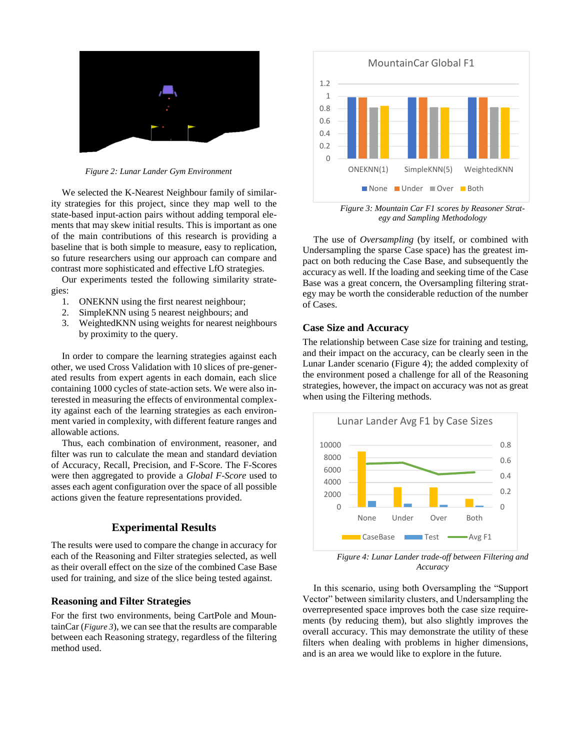

*Figure 2: Lunar Lander Gym Environment*

We selected the K-Nearest Neighbour family of similarity strategies for this project, since they map well to the state-based input-action pairs without adding temporal elements that may skew initial results. This is important as one of the main contributions of this research is providing a baseline that is both simple to measure, easy to replication, so future researchers using our approach can compare and contrast more sophisticated and effective LfO strategies.

Our experiments tested the following similarity strategies:

- 1. ONEKNN using the first nearest neighbour;
- 2. SimpleKNN using 5 nearest neighbours; and
- 3. WeightedKNN using weights for nearest neighbours by proximity to the query.

In order to compare the learning strategies against each other, we used Cross Validation with 10 slices of pre-generated results from expert agents in each domain, each slice containing 1000 cycles of state-action sets. We were also interested in measuring the effects of environmental complexity against each of the learning strategies as each environment varied in complexity, with different feature ranges and allowable actions.

Thus, each combination of environment, reasoner, and filter was run to calculate the mean and standard deviation of Accuracy, Recall, Precision, and F-Score. The F-Scores were then aggregated to provide a *Global F-Score* used to asses each agent configuration over the space of all possible actions given the feature representations provided.

# **Experimental Results**

The results were used to compare the change in accuracy for each of the Reasoning and Filter strategies selected, as well as their overall effect on the size of the combined Case Base used for training, and size of the slice being tested against.

# **Reasoning and Filter Strategies**

For the first two environments, being CartPole and MountainCar (*[Figure 3](#page-4-0)*), we can see that the results are comparable between each Reasoning strategy, regardless of the filtering method used.



*Figure 3: Mountain Car F1 scores by Reasoner Strategy and Sampling Methodology*

<span id="page-4-0"></span>The use of *Oversampling* (by itself, or combined with Undersampling the sparse Case space) has the greatest impact on both reducing the Case Base, and subsequently the accuracy as well. If the loading and seeking time of the Case Base was a great concern, the Oversampling filtering strategy may be worth the considerable reduction of the number of Cases.

# **Case Size and Accuracy**

The relationship between Case size for training and testing, and their impact on the accuracy, can be clearly seen in the Lunar Lander scenario (Figure 4); the added complexity of the environment posed a challenge for all of the Reasoning strategies, however, the impact on accuracy was not as great when using the Filtering methods.



*Figure 4: Lunar Lander trade-off between Filtering and Accuracy*

In this scenario, using both Oversampling the "Support Vector" between similarity clusters, and Undersampling the overrepresented space improves both the case size requirements (by reducing them), but also slightly improves the overall accuracy. This may demonstrate the utility of these filters when dealing with problems in higher dimensions, and is an area we would like to explore in the future.